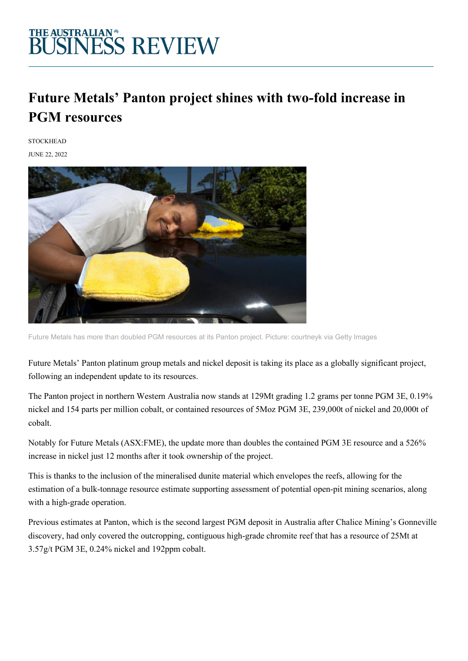## THE AUSTRALIAN\*<br>BUSINESS REVIEW

### **Future Metals' Panton project shines with two-fold increase in PGM resources**

**STOCKHEAD** 

JUNE 22, 2022



Future Metals has more than doubled PGM resources at its Panton project. Picture: courtneyk via Getty Images

Future Metals' Panton platinum group metals and nickel deposit is taking its place as a globally significant project, following an independent update to its resources.

The Panton project in northern Western Australia now stands at 129Mt grading 1.2 grams per tonne PGM 3E, 0.19% nickel and 154 parts per million cobalt, or contained resources of 5Moz PGM 3E, 239,000t of nickel and 20,000t of cobalt.

Notably for Future Metals (ASX:FME), the update more than doubles the contained PGM 3E resource and a 526% increase in nickel just 12 months after it took ownership of the project.

This is thanks to the inclusion of the mineralised dunite material which envelopes the reefs, allowing for the estimation of a bulk-tonnage resource estimate supporting assessment of potential open-pit mining scenarios, along with a high-grade operation.

Previous estimates at Panton, which is the second largest PGM deposit in Australia after Chalice Mining's Gonneville discovery, had only covered the outcropping, contiguous high-grade chromite reef that has a resource of 25Mt at 3.57g/t PGM 3E, 0.24% nickel and 192ppm cobalt.